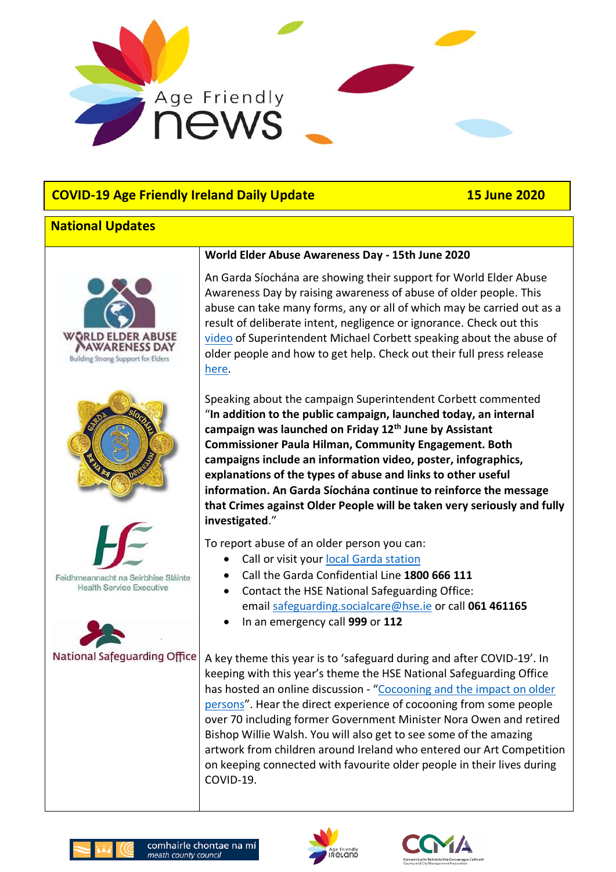

# **COVID-19 Age Friendly Ireland Daily Update 15 June 2020**

## **National Updates**



#### **World Elder Abuse Awareness Day - 15th June 2020**

An Garda Síochána are showing their support for World Elder Abuse Awareness Day by raising awareness of abuse of older people. This abuse can take many forms, any or all of which may be carried out as a result of deliberate intent, negligence or ignorance. Check out this [video](https://www.youtube.com/watch?v=1SecwUDlY_o&feature=emb_logo) of Superintendent Michael Corbett speaking about the abuse of older people and how to get help. Check out their full press release [here.](https://www.garda.ie/en/about-us/our-departments/office-of-corporate-communications/news-media/world-elder-abuse-awareness-day-2020.html)

Speaking about the campaign Superintendent Corbett commented "**In addition to the public campaign, launched today, an internal campaign was launched on Friday 12th June by Assistant Commissioner Paula Hilman, Community Engagement. Both campaigns include an information video, poster, infographics, explanations of the types of abuse and links to other useful information. An Garda Síochána continue to reinforce the message that Crimes against Older People will be taken very seriously and fully investigated**."

To report abuse of an older person you can:

- Call or visit your [local Garda station](https://www.garda.ie/en/Contact-Us/Station-Directory/)
- Call the Garda Confidential Line **1800 666 111**
- Contact the HSE National Safeguarding Office: email [safeguarding.socialcare@hse.ie](mailto:safeguarding.socialcare@hse.ie) or call **061 461165**
- In an emergency call **999** or **112**

A key theme this year is to 'safeguard during and after COVID-19'. In keeping with this year's theme the HSE National Safeguarding Office has hosted an online discussion - "Cocooning and the impact on older [persons](https://www.youtube.com/watch?v=GwwzqIM6_BA&feature=youtu.be)". Hear the direct experience of cocooning from some people over 70 including former Government Minister Nora Owen and retired Bishop Willie Walsh. You will also get to see some of the amazing artwork from children around Ireland who entered our Art Competition on keeping connected with favourite older people in their lives during COVID-19.





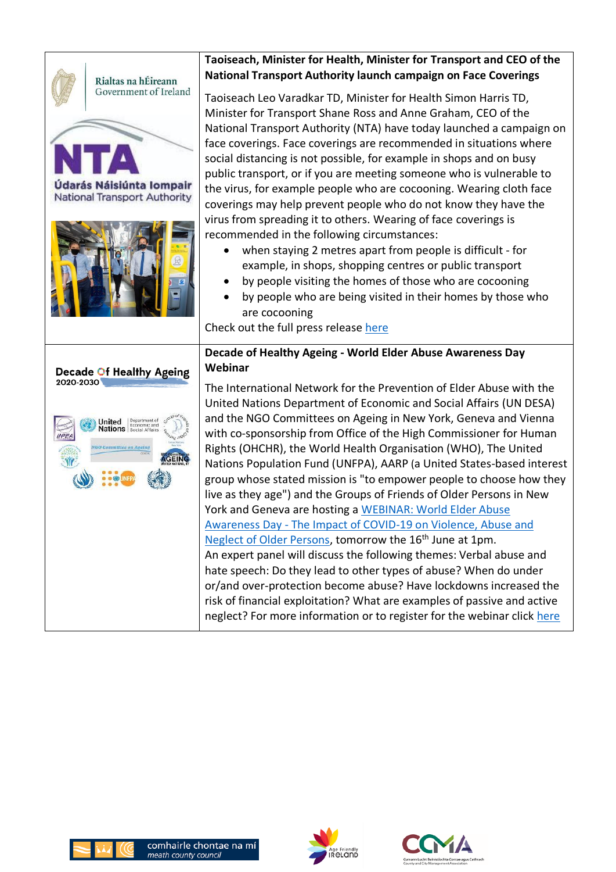

# **Taoiseach, Minister for Health, Minister for Transport and CEO of the National Transport Authority launch campaign on Face Coverings**

Taoiseach Leo Varadkar TD, Minister for Health Simon Harris TD, Minister for Transport Shane Ross and Anne Graham, CEO of the National Transport Authority (NTA) have today launched a campaign on face coverings. Face coverings are recommended in situations where social distancing is not possible, for example in shops and on busy public transport, or if you are meeting someone who is vulnerable to the virus, for example people who are cocooning. Wearing cloth face coverings may help prevent people who do not know they have the virus from spreading it to others. Wearing of face coverings is recommended in the following circumstances:

- when staying 2 metres apart from people is difficult for example, in shops, shopping centres or public transport
- by people visiting the homes of those who are cocooning
- by people who are being visited in their homes by those who are cocooning

Check out the full press release [here](https://www.gov.ie/en/press-release/37b63-taoiseach-minister-for-health-minister-for-transport-and-ceo-of-the-national-transport-authority-launch-campaign-on-face-coverings/)

## **Decade of Healthy Ageing - World Elder Abuse Awareness Day Webinar**

The International Network for the Prevention of Elder Abuse with the United Nations Department of Economic and Social Affairs (UN DESA) and the NGO Committees on Ageing in New York, Geneva and Vienna with co-sponsorship from Office of the High Commissioner for Human Rights (OHCHR), the World Health Organisation (WHO), The United Nations Population Fund (UNFPA), AARP (a United States-based interest group whose stated mission is "to empower people to choose how they live as they age") and the Groups of Friends of Older Persons in New York and Geneva are hosting a [WEBINAR: World Elder Abuse](https://mcusercontent.com/c7943277461ee4157547221f2/files/7359de67-a00d-4677-823e-62d34191622f/WEAAD_16_June_2020.pdf)  Awareness Day - [The Impact of COVID-19 on Violence, Abuse and](https://mcusercontent.com/c7943277461ee4157547221f2/files/7359de67-a00d-4677-823e-62d34191622f/WEAAD_16_June_2020.pdf)  [Neglect of Older Persons,](https://mcusercontent.com/c7943277461ee4157547221f2/files/7359de67-a00d-4677-823e-62d34191622f/WEAAD_16_June_2020.pdf) tomorrow the 16<sup>th</sup> June at 1pm. An expert panel will discuss the following themes: Verbal abuse and hate speech: Do they lead to other types of abuse? When do under or/and over-protection become abuse? Have lockdowns increased the risk of financial exploitation? What are examples of passive and active neglect? For more information or to register for the webinar click [here](https://us02web.zoom.us/webinar/register/WN_ArmccdPbTGeuqfB2kdinyw)





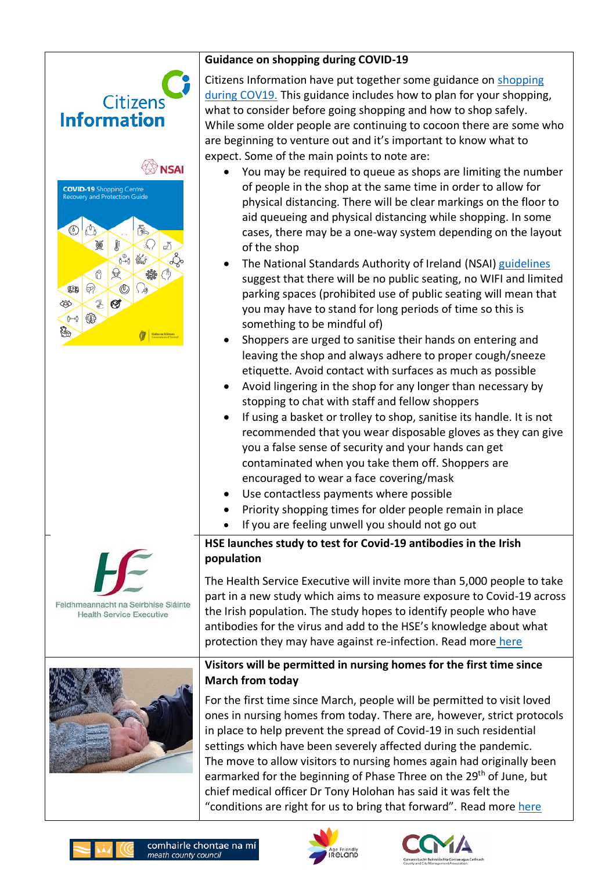| <b>Guidance on shopping during COVID-19</b>                                                                                               |                                                                                                                                                                                                                                                                                                                                                                                                                                                                                                                                                                                                                                                                                                                                                                                                                                                                                                                                                                                                                                                                                                                                                                                                                                                                                                          |
|-------------------------------------------------------------------------------------------------------------------------------------------|----------------------------------------------------------------------------------------------------------------------------------------------------------------------------------------------------------------------------------------------------------------------------------------------------------------------------------------------------------------------------------------------------------------------------------------------------------------------------------------------------------------------------------------------------------------------------------------------------------------------------------------------------------------------------------------------------------------------------------------------------------------------------------------------------------------------------------------------------------------------------------------------------------------------------------------------------------------------------------------------------------------------------------------------------------------------------------------------------------------------------------------------------------------------------------------------------------------------------------------------------------------------------------------------------------|
| <b>Citizens</b><br><b>Information</b><br><b>NSAI</b>                                                                                      | Citizens Information have put together some guidance on shopping<br>during COV19. This guidance includes how to plan for your shopping,<br>what to consider before going shopping and how to shop safely.<br>While some older people are continuing to cocoon there are some who<br>are beginning to venture out and it's important to know what to<br>expect. Some of the main points to note are:<br>You may be required to queue as shops are limiting the number                                                                                                                                                                                                                                                                                                                                                                                                                                                                                                                                                                                                                                                                                                                                                                                                                                     |
| <b>COVID-19</b> Shopping Centre<br>Recovery and Protection Guide<br>$\circ$<br>J<br>$\delta \rightarrow 0$<br>6⊿<br>€<br>œ<br>Ø<br>笔<br>◈ | of people in the shop at the same time in order to allow for<br>physical distancing. There will be clear markings on the floor to<br>aid queueing and physical distancing while shopping. In some<br>cases, there may be a one-way system depending on the layout<br>of the shop<br>The National Standards Authority of Ireland (NSAI) guidelines<br>suggest that there will be no public seating, no WIFI and limited<br>parking spaces (prohibited use of public seating will mean that<br>you may have to stand for long periods of time so this is<br>something to be mindful of)<br>Shoppers are urged to sanitise their hands on entering and<br>leaving the shop and always adhere to proper cough/sneeze<br>etiquette. Avoid contact with surfaces as much as possible<br>Avoid lingering in the shop for any longer than necessary by<br>stopping to chat with staff and fellow shoppers<br>If using a basket or trolley to shop, sanitise its handle. It is not<br>recommended that you wear disposable gloves as they can give<br>you a false sense of security and your hands can get<br>contaminated when you take them off. Shoppers are<br>encouraged to wear a face covering/mask<br>Use contactless payments where possible<br>Priority shopping times for older people remain in place |
|                                                                                                                                           | If you are feeling unwell you should not go out<br>HSE launches study to test for Covid-19 antibodies in the Irish<br>population                                                                                                                                                                                                                                                                                                                                                                                                                                                                                                                                                                                                                                                                                                                                                                                                                                                                                                                                                                                                                                                                                                                                                                         |
| Feidhmeannacht na Seirbhíse Sláinte<br><b>Health Service Executive</b>                                                                    | The Health Service Executive will invite more than 5,000 people to take<br>part in a new study which aims to measure exposure to Covid-19 across<br>the Irish population. The study hopes to identify people who have<br>antibodies for the virus and add to the HSE's knowledge about what<br>protection they may have against re-infection. Read more here                                                                                                                                                                                                                                                                                                                                                                                                                                                                                                                                                                                                                                                                                                                                                                                                                                                                                                                                             |
|                                                                                                                                           | Visitors will be permitted in nursing homes for the first time since<br><b>March from today</b><br>For the first time since March, people will be permitted to visit loved<br>ones in nursing homes from today. There are, however, strict protocols<br>in place to help prevent the spread of Covid-19 in such residential<br>settings which have been severely affected during the pandemic.<br>The move to allow visitors to nursing homes again had originally been<br>earmarked for the beginning of Phase Three on the 29 <sup>th</sup> of June, but<br>chief medical officer Dr Tony Holohan has said it was felt the<br>"conditions are right for us to bring that forward". Read more here                                                                                                                                                                                                                                                                                                                                                                                                                                                                                                                                                                                                      |





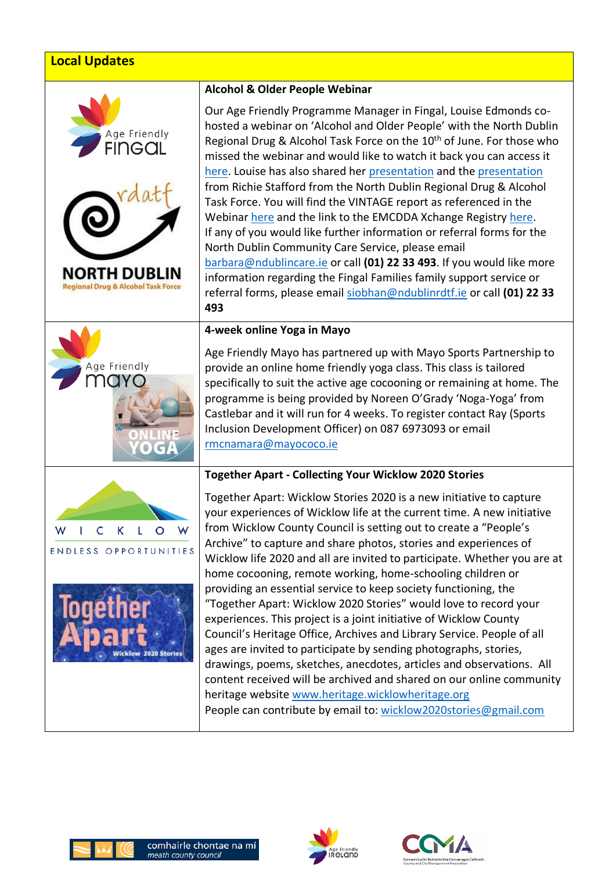## **Local Updates**









#### **Alcohol & Older People Webinar**

Our Age Friendly Programme Manager in Fingal, Louise Edmonds cohosted a webinar on 'Alcohol and Older People' with the North Dublin Regional Drug & Alcohol Task Force on the 10<sup>th</sup> of June. For those who missed the webinar and would like to watch it back you can access it [here.](https://www.youtube.com/watch?v=dTRJXYZqr-o) Louise has also shared her [presentation](https://agefriendlyireland.ie/wp-content/uploads/2020/06/Age-Friendly-Fingal-Alcohol-and-Older-People-Webinar-10th-June-2020-2.pdf) and the [presentation](https://agefriendlyireland.ie/wp-content/uploads/2020/06/Alcohol-Older-People-Webinar-PP-Final.pdf) from Richie Stafford from the North Dublin Regional Drug & Alcohol Task Force. You will find the VINTAGE report as referenced in the Webina[r here](https://agefriendlyireland.ie/wp-content/uploads/2020/06/VINTAGE-Report-Best-Practice_final-1.pdf) and the link to the EMCDDA Xchange Registry [here.](https://www.emcdda.europa.eu/best-practice/xchange) If any of you would like further information or referral forms for the North Dublin Community Care Service, please email [barbara@ndublincare.ie](mailto:barbara@ndublincare.ie) or call **(01) 22 33 493**. If you would like more information regarding the Fingal Families family support service or referral forms, please email [siobhan@ndublinrdtf.ie](mailto:siobhan@ndublinrdtf.ie) or call **(01) 22 33 493**

#### **4-week online Yoga in Mayo**

Age Friendly Mayo has partnered up with Mayo Sports Partnership to provide an online home friendly yoga class. This class is tailored specifically to suit the active age cocooning or remaining at home. The programme is being provided by Noreen O'Grady 'Noga-Yoga' from Castlebar and it will run for 4 weeks. To register contact Ray (Sports Inclusion Development Officer) on 087 6973093 or email [rmcnamara@mayococo.ie](mailto:rmcnamara@mayococo.ie)

#### **Together Apart - Collecting Your Wicklow 2020 Stories**

Together Apart: Wicklow Stories 2020 is a new initiative to capture your experiences of Wicklow life at the current time. A new initiative from Wicklow County Council is setting out to create a "People's Archive" to capture and share photos, stories and experiences of Wicklow life 2020 and all are invited to participate. Whether you are at home cocooning, remote working, home-schooling children or providing an essential service to keep society functioning, the "Together Apart: Wicklow 2020 Stories" would love to record your experiences. This project is a joint initiative of Wicklow County Council's Heritage Office, Archives and Library Service. People of all ages are invited to participate by sending photographs, stories, drawings, poems, sketches, anecdotes, articles and observations. All content received will be archived and shared on our online community heritage website [www.heritage.wicklowheritage.org](http://www.heritage.wicklowheritage.org/) People can contribute by email to: [wicklow2020stories@gmail.com](mailto:wicklow2020stories@gmail.com)





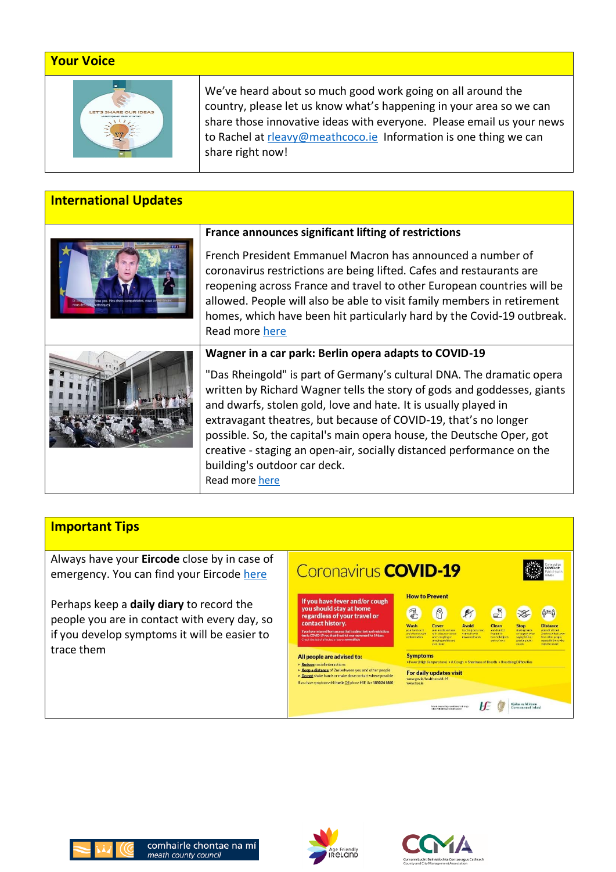### **Your Voice**



We've heard about so much good work going on all around the country, please let us know what's happening in your area so we can share those innovative ideas with everyone. Please email us your news to Rachel at [rleavy@meathcoco.ie](mailto:rleavy@meathcoco.ie) Information is one thing we can share right now!

### **International Updates**



#### **France announces significant lifting of restrictions**

French President Emmanuel Macron has announced a number of coronavirus restrictions are being lifted. Cafes and restaurants are reopening across France and travel to other European countries will be allowed. People will also be able to visit family members in retirement homes, which have been hit particularly hard by the Covid-19 outbreak. Read more [here](https://www.bbc.com/news/world-europe-52978327)

"Das Rheingold" is part of Germany's cultural DNA. The dramatic opera written by Richard Wagner tells the story of gods and goddesses, giants and dwarfs, stolen gold, love and hate. It is usually played in extravagant theatres, but because of COVID-19, that's no longer possible. So, the capital's main opera house, the Deutsche Oper, got creative - staging an open-air, socially distanced performance on the building's outdoor car deck. Read more [here](https://www.euronews.com/2020/06/12/wagner-in-a-car-park-berlin-opera-adapts-to-covid-19?utm_source=newsletter&utm_medium=special_coverage&utm_campaign=coronavirus&_ope=eyJndWlkIjoiZjIzZWM1MDYzNzk4ZmI4MGJiN2RkZGNlOWJkZDVmNTIifQ%3D%3DH)

## **Important Tips**

Always have your **Eircode** close by in case of emergency. You can find your Eircode [here](https://finder.eircode.ie/#/)

Perhaps keep a **daily diary** to record the people you are in contact with every day, so if you develop symptoms it will be easier to trace them